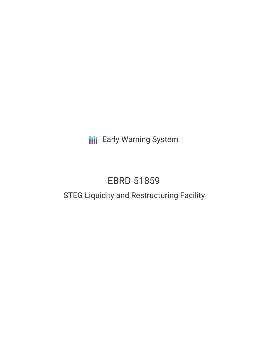**III** Early Warning System

# EBRD-51859

## STEG Liquidity and Restructuring Facility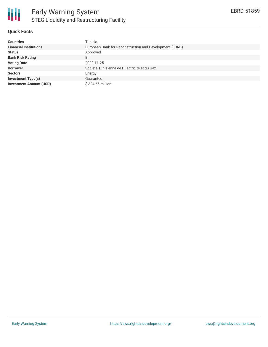

#### **Quick Facts**

| <b>Countries</b>               | Tunisia                                                 |
|--------------------------------|---------------------------------------------------------|
| <b>Financial Institutions</b>  | European Bank for Reconstruction and Development (EBRD) |
| <b>Status</b>                  | Approved                                                |
| <b>Bank Risk Rating</b>        | B                                                       |
| <b>Voting Date</b>             | 2020-11-25                                              |
| <b>Borrower</b>                | Societe Tunisienne de l'Electricite et du Gaz           |
| <b>Sectors</b>                 | Energy                                                  |
| <b>Investment Type(s)</b>      | Guarantee                                               |
| <b>Investment Amount (USD)</b> | \$324.65 million                                        |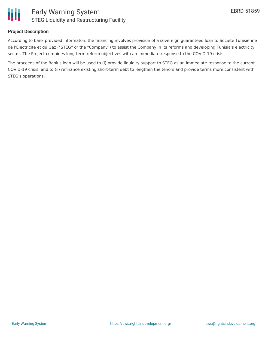

#### **Project Description**

According to bank provided informaton, the financing involves provision of a sovereign guaranteed loan to Societe Tunisienne de l'Electricite et du Gaz ("STEG" or the "Company") to assist the Company in its reforms and developing Tunisia's electricity sector. The Project combines long-term reform objectives with an immediate response to the COVID-19 crisis.

The proceeds of the Bank's loan will be used to (i) provide liquidity support to STEG as an immediate response to the current COVID-19 crisis, and to (ii) refinance existing short-term debt to lengthen the tenors and provide terms more consistent with STEG's operations.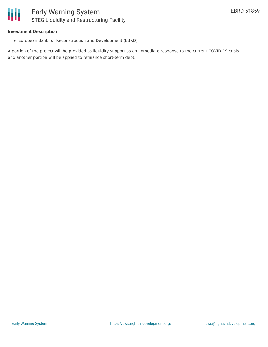#### **Investment Description**

European Bank for Reconstruction and Development (EBRD)

A portion of the project will be provided as liquidity support as an immediate response to the current COVID-19 crisis and another portion will be applied to refinance short-term debt.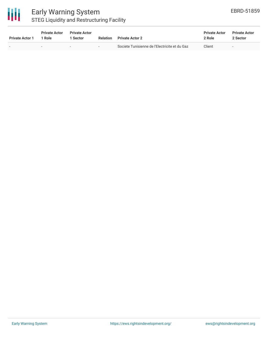

### Early Warning System STEG Liquidity and Restructuring Facility

| <b>Private Actor 1</b> | <b>Private Actor</b><br>1 Role | <b>Private Actor</b><br>Sector | <b>Relation</b> | <b>Private Actor 2</b>                        | <b>Private Actor</b><br>2 Role | <b>Private Actor</b><br>2 Sector |  |
|------------------------|--------------------------------|--------------------------------|-----------------|-----------------------------------------------|--------------------------------|----------------------------------|--|
|                        | $\overline{\phantom{0}}$       | $\overline{\phantom{0}}$       |                 | Societe Tunisienne de l'Electricite et du Gaz | Client                         | $\overline{\phantom{a}}$         |  |